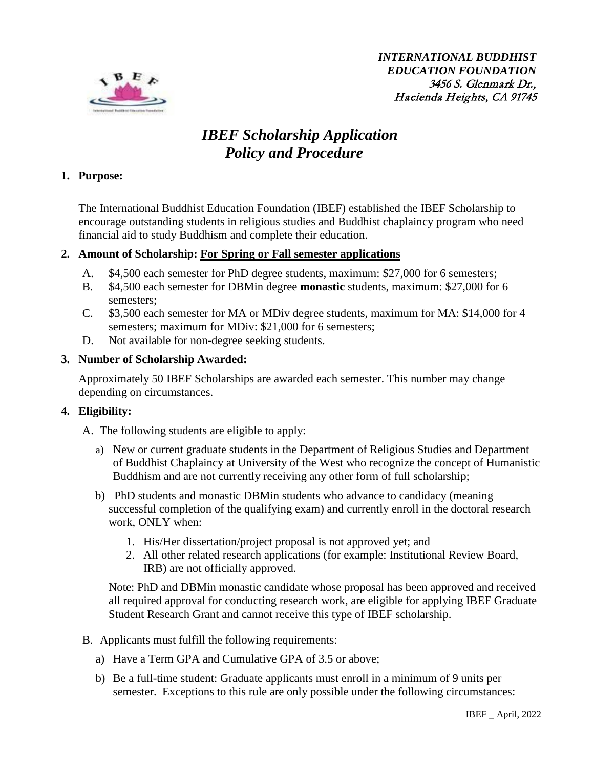

*INTERNATIONAL BUDDHIST EDUCATION FOUNDATION* 3456 S. Glenmark Dr., Hacienda Heights, CA 91745

# *IBEF Scholarship Application Policy and Procedure*

# **1. Purpose:**

The International Buddhist Education Foundation (IBEF) established the IBEF Scholarship to encourage outstanding students in religious studies and Buddhist chaplaincy program who need financial aid to study Buddhism and complete their education.

# **2. Amount of Scholarship: For Spring or Fall semester applications**

- A. \$4,500 each semester for PhD degree students, maximum: \$27,000 for 6 semesters;
- B. \$4,500 each semester for DBMin degree **monastic** students, maximum: \$27,000 for 6 semesters;
- C. \$3,500 each semester for MA or MDiv degree students, maximum for MA: \$14,000 for 4 semesters; maximum for MDiv: \$21,000 for 6 semesters;
- D. Not available for non-degree seeking students.

# **3. Number of Scholarship Awarded:**

Approximately 50 IBEF Scholarships are awarded each semester. This number may change depending on circumstances.

# **4. Eligibility:**

A. The following students are eligible to apply:

- a) New or current graduate students in the Department of Religious Studies and Department of Buddhist Chaplaincy at University of the West who recognize the concept of Humanistic Buddhism and are not currently receiving any other form of full scholarship;
- b) PhD students and monastic DBMin students who advance to candidacy (meaning successful completion of the qualifying exam) and currently enroll in the doctoral research work, ONLY when:
	- 1. His/Her dissertation/project proposal is not approved yet; and
	- 2. All other related research applications (for example: Institutional Review Board, IRB) are not officially approved.

Note: PhD and DBMin monastic candidate whose proposal has been approved and received all required approval for conducting research work, are eligible for applying IBEF Graduate Student Research Grant and cannot receive this type of IBEF scholarship.

- B. Applicants must fulfill the following requirements:
	- a) Have a Term GPA and Cumulative GPA of 3.5 or above;
	- b) Be a full-time student: Graduate applicants must enroll in a minimum of 9 units per semester. Exceptions to this rule are only possible under the following circumstances: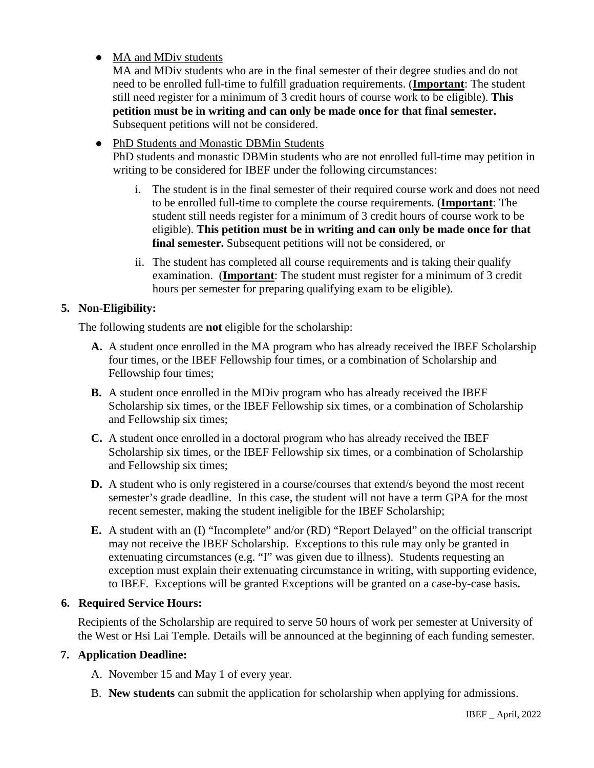# • MA and MDiv students

MA and MDiv students who are in the final semester of their degree studies and do not need to be enrolled full-time to fulfill graduation requirements. (**Important**: The student still need register for a minimum of 3 credit hours of course work to be eligible). **This petition must be in writing and can only be made once for that final semester.**  Subsequent petitions will not be considered.

# • PhD Students and Monastic DBMin Students

PhD students and monastic DBMin students who are not enrolled full-time may petition in writing to be considered for IBEF under the following circumstances:

- i. The student is in the final semester of their required course work and does not need to be enrolled full-time to complete the course requirements. (**Important**: The student still needs register for a minimum of 3 credit hours of course work to be eligible). **This petition must be in writing and can only be made once for that final semester.** Subsequent petitions will not be considered, or
- ii. The student has completed all course requirements and is taking their qualify examination. (**Important**: The student must register for a minimum of 3 credit hours per semester for preparing qualifying exam to be eligible).

# **5. Non-Eligibility:**

The following students are **not** eligible for the scholarship:

- **A.** A student once enrolled in the MA program who has already received the IBEF Scholarship four times, or the IBEF Fellowship four times, or a combination of Scholarship and Fellowship four times;
- **B.** A student once enrolled in the MDiv program who has already received the IBEF Scholarship six times, or the IBEF Fellowship six times, or a combination of Scholarship and Fellowship six times;
- **C.** A student once enrolled in a doctoral program who has already received the IBEF Scholarship six times, or the IBEF Fellowship six times, or a combination of Scholarship and Fellowship six times;
- **D.** A student who is only registered in a course/courses that extend/s beyond the most recent semester's grade deadline. In this case, the student will not have a term GPA for the most recent semester, making the student ineligible for the IBEF Scholarship;
- **E.** A student with an (I) "Incomplete" and/or (RD) "Report Delayed" on the official transcript may not receive the IBEF Scholarship. Exceptions to this rule may only be granted in extenuating circumstances (e.g. "I" was given due to illness). Students requesting an exception must explain their extenuating circumstance in writing, with supporting evidence, to IBEF. Exceptions will be granted Exceptions will be granted on a case-by-case basis**.**

# **6. Required Service Hours:**

Recipients of the Scholarship are required to serve 50 hours of work per semester at University of the West or Hsi Lai Temple. Details will be announced at the beginning of each funding semester.

# **7. Application Deadline:**

A. November 15 and May 1 of every year.

B. **New students** can submit the application for scholarship when applying for admissions.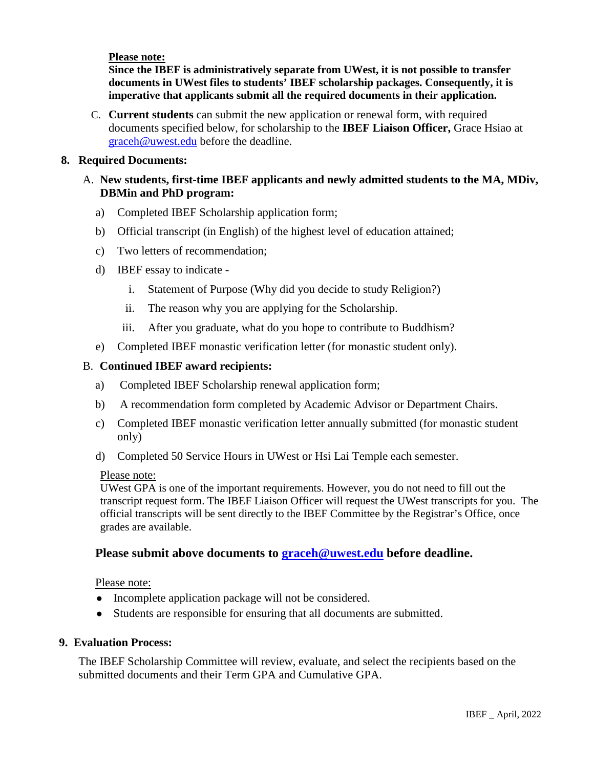#### **Please note:**

**Since the IBEF is administratively separate from UWest, it is not possible to transfer documents in UWest files to students' IBEF scholarship packages. Consequently, it is imperative that applicants submit all the required documents in their application.**

C. **Current students** can submit the new application or renewal form, with required documents specified below, for scholarship to the **IBEF Liaison Officer,** Grace Hsiao at [graceh@uwest.edu](mailto:graceh@uwest.edu) before the deadline.

#### **8. Required Documents:**

# A. **New students, first-time IBEF applicants and newly admitted students to the MA, MDiv, DBMin and PhD program:**

- a) Completed IBEF Scholarship application form;
- b) Official transcript (in English) of the highest level of education attained;
- c) Two letters of recommendation;
- d) IBEF essay to indicate
	- i. Statement of Purpose (Why did you decide to study Religion?)
	- ii. The reason why you are applying for the Scholarship.
	- iii. After you graduate, what do you hope to contribute to Buddhism?
- e) Completed IBEF monastic verification letter (for monastic student only).

#### B. **Continued IBEF award recipients:**

- a) Completed IBEF Scholarship renewal application form;
- b) A recommendation form completed by Academic Advisor or Department Chairs.
- c) Completed IBEF monastic verification letter annually submitted (for monastic student only)
- d) Completed 50 Service Hours in UWest or Hsi Lai Temple each semester.

#### Please note:

UWest GPA is one of the important requirements. However, you do not need to fill out the transcript request form. The IBEF Liaison Officer will request the UWest transcripts for you. The official transcripts will be sent directly to the IBEF Committee by the Registrar's Office, once grades are available.

# **Please submit above documents to [graceh@uwest.edu](mailto:graceh@uwest.edu) before deadline.**

#### Please note:

- Incomplete application package will not be considered.
- Students are responsible for ensuring that all documents are submitted.

#### **9. Evaluation Process:**

The IBEF Scholarship Committee will review, evaluate, and select the recipients based on the submitted documents and their Term GPA and Cumulative GPA.